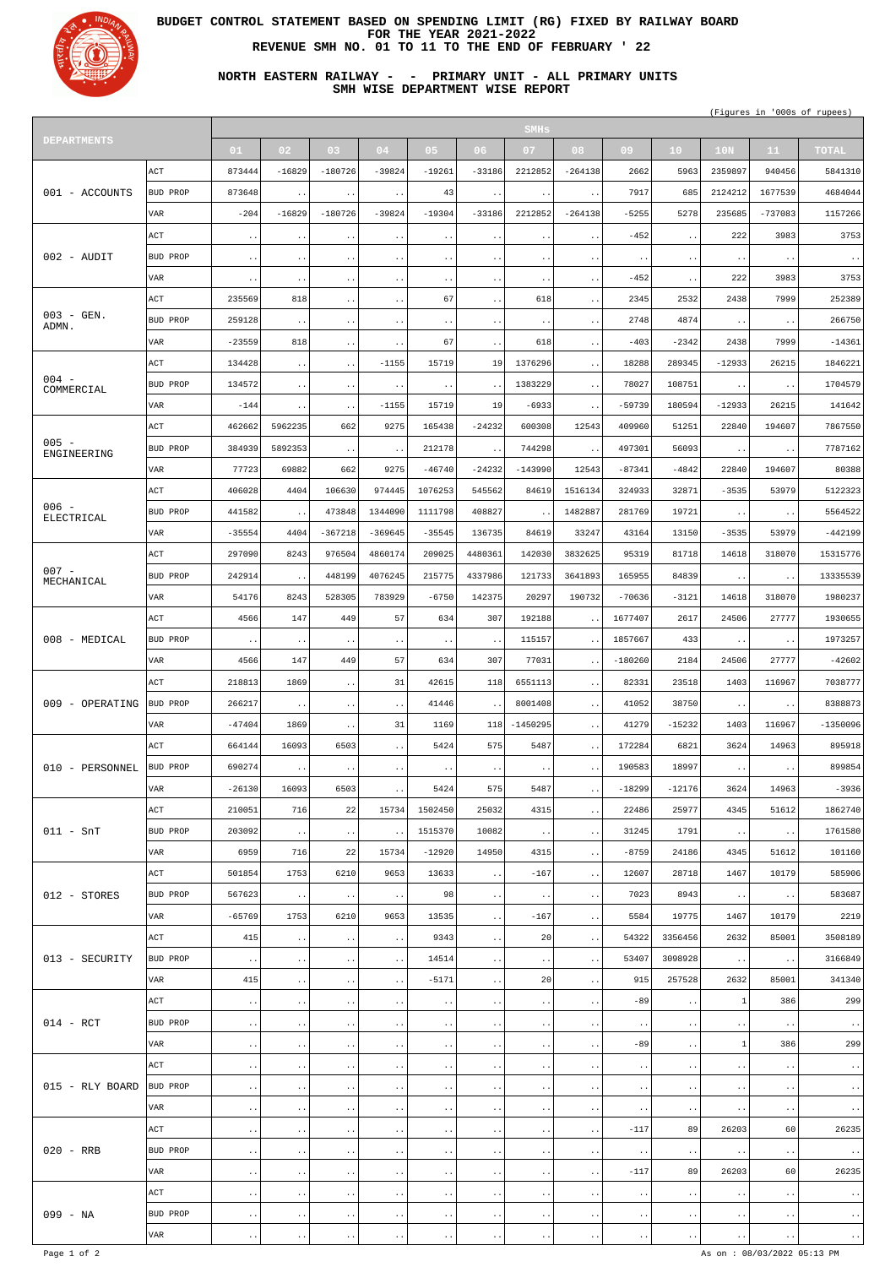

┱

## **BUDGET CONTROL STATEMENT BASED ON SPENDING LIMIT (RG) FIXED BY RAILWAY BOARD FOR THE YEAR 2021-2022 REVENUE SMH NO. 01 TO 11 TO THE END OF FEBRUARY ' 22**

**NORTH EASTERN RAILWAY - - PRIMARY UNIT - ALL PRIMARY UNITS SMH WISE DEPARTMENT WISE REPORT**

(Figures in '000s of rupees)

| <b>DEPARTMENTS</b>     |                    | <b>SMHs</b>            |                        |                        |                          |                        |                        |                        |                        |                                  |                              |                        |                              |                         |
|------------------------|--------------------|------------------------|------------------------|------------------------|--------------------------|------------------------|------------------------|------------------------|------------------------|----------------------------------|------------------------------|------------------------|------------------------------|-------------------------|
|                        |                    | 01                     | 02                     | 03                     | 04                       | 05                     | 06 <sub>1</sub>        | 07                     | 08                     | 09                               | 10 <sub>1</sub>              | 10N                    | 11 <sub>1</sub>              | <b>TOTAL</b>            |
| 001 - ACCOUNTS         | $\mathop{\rm ACT}$ | 873444                 | $-16829$               | $-180726$              | $-39824$                 | $-19261$               | $-33186$               | 2212852                | $-264138$              | 2662                             | 5963                         | 2359897                | 940456                       | 5841310                 |
|                        | BUD PROP           | 873648                 | $\ddot{\phantom{1}}$ . | $\ddot{\phantom{0}}$ . | $\ddot{\phantom{0}}$ .   | 43                     | $\ddot{\phantom{1}}$ . | $\ddot{\phantom{1}}$ . | $\ddot{\phantom{0}}$ . | 7917                             | 685                          | 2124212                | 1677539                      | 4684044                 |
|                        | VAR                | $-204$                 | $-16829$               | $-180726$              | $-39824$                 | $-19304$               | $-33186$               | 2212852                | $-264138$              | $-5255$                          | 5278                         | 235685                 | $-737083$                    | 1157266                 |
|                        | ACT                | $\ddot{\phantom{a}}$ . | $\ddot{\phantom{a}}$ . | $\ddot{\phantom{1}}$ . | $\ddot{\phantom{1}}$ .   | $\ddot{\phantom{1}}$ . | $\ddot{\phantom{0}}$ . | $\sim$ $\sim$          | $\ddot{\phantom{1}}$ . | $-452$                           | $\ddot{\phantom{0}}$         | 222                    | 3983                         | 3753                    |
| $002 - \text{ADI}$     |                    |                        |                        |                        |                          |                        |                        |                        |                        |                                  |                              |                        |                              |                         |
|                        | BUD PROP           | $\ddot{\phantom{1}}$ . | $\sim$ $\sim$          | $\ddot{\phantom{0}}$ . | $\bullet$ . $\bullet$    | $\ddot{\phantom{1}}$ . | $\ddot{\phantom{1}}$ . | $\ddot{\phantom{1}}$ . | $\ddot{\phantom{1}}$ . | $\ddot{\phantom{0}}$ .           | $\ddot{\phantom{1}}$ .       | $\bullet$ $\bullet$    | $\ddot{\phantom{1}}$ .       | $\ddot{\phantom{0}}$ .  |
|                        | VAR                | $\ddot{\phantom{1}}$ . | $\ddot{\phantom{0}}$   | . .                    | $\ddot{\phantom{0}}$     | $\ddot{\phantom{0}}$   | $\ddot{\phantom{1}}$ . | $\ddot{\phantom{1}}$ . | $\ddot{\phantom{a}}$ . | $-452$                           | $\ddot{\phantom{0}}$         | 222                    | 3983                         | 3753                    |
| $003 - GEN$ .<br>ADMN. | $\mathop{\rm ACT}$ | 235569                 | 818                    | $\ddot{\phantom{1}}$ . | $\ddot{\phantom{1}}$ .   | 67                     | $\ddot{\phantom{a}}$ . | 618                    | $\ddot{\phantom{1}}$ . | 2345                             | 2532                         | 2438                   | 7999                         | 252389                  |
|                        | BUD PROP           | 259128                 | $\sim$ $\sim$          | $\ddot{\phantom{1}}$ . | $\ddot{\phantom{0}}$ .   | $\ddot{\phantom{0}}$ . | $\ddot{\phantom{1}}$ . | $\ddot{\phantom{0}}$ . | $\ddot{\phantom{0}}$ . | 2748                             | 4874                         | $\ddot{\phantom{a}}$ . | $\ddot{\phantom{0}}$ .       | 266750                  |
|                        | VAR                | $-23559$               | 818                    | $\ddot{\phantom{1}}$ . | $\ddot{\phantom{0}}$     | 67                     | $\ddot{\phantom{1}}$ . | 618                    | $\ddot{\phantom{1}}$ . | $-403$                           | $-2342$                      | 2438                   | 7999                         | $-14361$                |
| $004 -$<br>COMMERCIAL  | ACT                | 134428                 | $\ddot{\phantom{a}}$ . | $\ddot{\phantom{1}}$ . | $-1155$                  | 15719                  | 19                     | 1376296                | $\ddot{\phantom{1}}$ . | 18288                            | 289345                       | $-12933$               | 26215                        | 1846221                 |
|                        | BUD PROP           | 134572                 | $\sim$ $\sim$          | $\ddot{\phantom{0}}$ . | $\ddot{\phantom{0}}$ .   | $\ddot{\phantom{0}}$ . | $\ddot{\phantom{0}}$ . | 1383229                | $\ddot{\phantom{1}}$ . | 78027                            | 108751                       | $\ddot{\phantom{a}}$ . | $\ddot{\phantom{1}}$ .       | 1704579                 |
|                        | VAR                | $-144$                 | $\sim$ $\sim$          | $\ddot{\phantom{0}}$   | $-1155$                  | 15719                  | 19                     | $-6933$                | $\ddot{\phantom{0}}$   | $-59739$                         | 180594                       | $-12933$               | 26215                        | 141642                  |
|                        | ACT                | 462662                 | 5962235                | 662                    | 9275                     | 165438                 | $-24232$               | 600308                 | 12543                  | 409960                           | 51251                        | 22840                  | 194607                       | 7867550                 |
| $005 -$                | BUD PROP           | 384939                 | 5892353                | $\ddot{\phantom{0}}$ . | $\ddot{\phantom{a}}$ .   | 212178                 | $\ddot{\phantom{0}}$   | 744298                 | $\ddot{\phantom{1}}$ . | 497301                           | 56093                        | $\ddot{\phantom{1}}$ . | $\ddot{\phantom{1}}$ .       | 7787162                 |
| ENGINEERING            | VAR                | 77723                  | 69882                  | 662                    | 9275                     | $-46740$               | $-24232$               | $-143990$              | 12543                  | $-87341$                         | $-4842$                      | 22840                  | 194607                       | 80388                   |
|                        | ACT                | 406028                 | 4404                   | 106630                 | 974445                   | 1076253                | 545562                 | 84619                  | 1516134                | 324933                           | 32871                        | $-3535$                | 53979                        | 5122323                 |
| $006 -$                | BUD PROP           | 441582                 |                        | 473848                 | 1344090                  | 1111798                | 408827                 |                        | 1482887                | 281769                           | 19721                        |                        |                              | 5564522                 |
| ELECTRICAL             |                    |                        | $\ddot{\phantom{0}}$ . |                        |                          |                        |                        | $\ddot{\phantom{1}}$ . |                        |                                  |                              | $\ddot{\phantom{a}}$ . | $\ddot{\phantom{0}}$ .       |                         |
|                        | VAR                | $-35554$               | 4404                   | $-367218$              | $-369645$                | $-35545$               | 136735                 | 84619                  | 33247                  | 43164                            | 13150                        | $-3535$                | 53979                        | $-442199$               |
| $007 -$<br>MECHANICAL  | ACT                | 297090                 | 8243                   | 976504                 | 4860174                  | 209025                 | 4480361                | 142030                 | 3832625                | 95319                            | 81718                        | 14618                  | 318070                       | 15315776                |
|                        | BUD PROP           | 242914                 | $\ddot{\phantom{0}}$   | 448199                 | 4076245                  | 215775                 | 4337986                | 121733                 | 3641893                | 165955                           | 84839                        |                        | $\ddot{\phantom{1}}$ .       | 13335539                |
|                        | <b>VAR</b>         | 54176                  | 8243                   | 528305                 | 783929                   | $-6750$                | 142375                 | 20297                  | 190732                 | $-70636$                         | $-3121$                      | 14618                  | 318070                       | 1980237                 |
|                        | ACT                | 4566                   | 147                    | 449                    | 57                       | 634                    | 307                    | 192188                 | $\ddot{\phantom{a}}$ . | 1677407                          | 2617                         | 24506                  | 27777                        | 1930655                 |
| 008 - MEDICAL          | BUD PROP           | $\ddot{\phantom{0}}$ . | $\sim$                 | $\ddot{\phantom{1}}$ . | $\sim$ $\sim$            | $\ddot{\phantom{1}}$ . | $\ddot{\phantom{0}}$ . | 115157                 | $\ddot{\phantom{1}}$ . | 1857667                          | 433                          | $\bullet$ $\bullet$    | $\sim$ $\sim$                | 1973257                 |
|                        | VAR                | 4566                   | 147                    | 449                    | 57                       | 634                    | 307                    | 77031                  | $\ddot{\phantom{1}}$ . | $-180260$                        | 2184                         | 24506                  | 27777                        | $-42602$                |
| 009 - OPERATING        | ACT                | 218813                 | 1869                   | $\ddot{\phantom{1}}$ . | 31                       | 42615                  | 118                    | 6551113                | $\sim$ $\sim$          | 82331                            | 23518                        | 1403                   | 116967                       | 7038777                 |
|                        | <b>BUD PROP</b>    | 266217                 | $\ddot{\phantom{1}}$ . | $\ddot{\phantom{1}}$ . | $\ddot{\phantom{1}}$ .   | 41446                  |                        | 8001408                | $\sim$ $\sim$          | 41052                            | 38750                        | $\ddot{\phantom{1}}$ . | $\sim$ $\sim$                | 8388873                 |
|                        | VAR                | $-47404$               | 1869                   | $\ddot{\phantom{1}}$ . | 31                       | 1169                   |                        | $118$ -1450295         | $\sim$ $\sim$          | 41279                            | $-15232$                     | 1403                   | 116967                       | $-1350096$              |
| 010 - PERSONNEL        | ACT                | 664144                 | 16093                  | 6503                   | $\ddot{\phantom{1}}$ .   | 5424                   | 575                    | 5487                   | $\sim$ $\sim$          | 172284                           | 6821                         | 3624                   | 14963                        | 895918                  |
|                        | <b>BUD PROP</b>    | 690274                 | $\sim$                 | $\ddot{\phantom{1}}$ . | $\sim$ $\sim$            | $\ddot{\phantom{1}}$ . | $\ddot{\phantom{0}}$ . | $\ddot{\phantom{1}}$ . | $\ddot{\phantom{1}}$ . | 190583                           | 18997                        | $\bullet$ $\bullet$    | $\sim$ $\sim$                | 899854                  |
|                        | VAR                | $-26130$               | 16093                  | 6503                   | $\ddot{\phantom{0}}$     | 5424                   | 575                    | 5487                   | $\sim$ $\sim$          | $-18299$                         | $-12176$                     | 3624                   | 14963                        | $-3936$                 |
| $011 - SnT$            | ACT                | 210051                 | 716                    | 22                     | 15734                    | 1502450                | 25032                  | 4315                   | $\sim$ $\sim$          | 22486                            | 25977                        | 4345                   | 51612                        | 1862740                 |
|                        | BUD PROP           | 203092                 |                        |                        |                          | 1515370                | 10082                  |                        |                        | 31245                            | 1791                         |                        |                              | 1761580                 |
|                        |                    |                        | $\sim$ $\sim$          | $\ddot{\phantom{1}}$ . | $\sim$ $\sim$            |                        |                        | $\sim$ $\sim$          | $\sim$ $\sim$          |                                  |                              | $\ddot{\phantom{1}}$ . | $\sim$ $\sim$                |                         |
|                        | VAR                | 6959                   | 716                    | 22                     | 15734                    | $-12920$               | 14950                  | 4315                   | $\sim$ $\sim$          | $-8759$                          | 24186                        | 4345                   | 51612                        | 101160                  |
| 012 - STORES           | ACT                | 501854                 | 1753                   | 6210                   | 9653                     | 13633                  | $\ddot{\phantom{1}}$ . | $-167$                 | $\sim$ $\sim$          | 12607                            | 28718                        | 1467                   | 10179                        | 585906                  |
|                        | <b>BUD PROP</b>    | 567623                 | $\sim$                 | $\ddot{\phantom{1}}$ . | $\sim$ $\sim$            | 98                     | $\ddot{\phantom{1}}$ . | $\sim$ $\sim$          | $\ddot{\phantom{0}}$ . | 7023                             | 8943                         | $\bullet$ $\bullet$    | $\sim$ $\sim$                | 583687                  |
|                        | VAR                | $-65769$               | 1753                   | 6210                   | 9653                     | 13535                  | $\sim$ $\sim$          | $-167$                 | $\sim$ $\sim$          | 5584                             | 19775                        | 1467                   | 10179                        | 2219                    |
| 013 - SECURITY         | ACT                | 415                    | $\sim$ $\sim$          | $\bullet$ $\bullet$    | $\sim$ $\sim$            | 9343                   | $\ddot{\phantom{0}}$ . | 20                     | $\sim$ $\sim$          | 54322                            | 3356456                      | 2632                   | 85001                        | 3508189                 |
|                        | BUD PROP           | $\ddot{\phantom{1}}$ . | $\ddot{\phantom{a}}$ . | $\bullet$ $\bullet$    | $\sim$ $\sim$            | 14514                  | $\ddot{\phantom{1}}$ . | $\ddot{\phantom{1}}$ . | $\sim$ $\sim$          | 53407                            | 3098928                      | $\ddot{\phantom{1}}$ . | $\sim$ $\sim$                | 3166849                 |
|                        | VAR                | 415                    | $\sim$ $\sim$          | $\ddot{\phantom{0}}$   |                          | $-5171$                | $\ddot{\phantom{0}}$   | 20                     | $\sim$ $\sim$          | 915                              | 257528                       | 2632                   | 85001                        | 341340                  |
| $014$ - RCT            | ACT                | $\ddot{\phantom{1}}$ . | $\ddot{\phantom{0}}$ . | $\sim$ $\sim$          | $\ddot{\phantom{a}}$ .   | $\ddot{\phantom{1}}$ . | $\ddot{\phantom{0}}$ . | $\sim$ $\sim$          | $\ddot{\phantom{1}}$ . | $-89$                            | $\ddot{\phantom{1}}$ .       | $\mathbf{1}$           | 386                          | 299                     |
|                        | BUD PROP           | $\ddotsc$              | $\ddot{\phantom{0}}$ . | $\bullet$ $\bullet$    | $\ddot{\phantom{0}}$ .   | $\ddot{\phantom{0}}$ . | $\ddot{\phantom{0}}$ . | $\ddot{\phantom{1}}$ . | $\cdot$ .              | $\ddot{\phantom{1}}$ .           | $\ddot{\phantom{0}}$ .       | $\ddot{\phantom{0}}$ . | $\ddot{\phantom{1}}$ .       | $\langle \cdot \rangle$ |
|                        | VAR                | $\ddot{\phantom{1}}$ . | $\ddot{\phantom{1}}$ . | $\ddotsc$              | $\ddot{\phantom{0}}$     | $\ddot{\phantom{1}}$ . | $\ddot{\phantom{1}}$ . | $\sim$ $\sim$          | $\bullet$ $\bullet$    | $-89$                            | $\bullet$ $\bullet$          | 1                      | 386                          | 299                     |
| 015 - RLY BOARD        | ACT                | $\ddot{\phantom{0}}$ . | $\ddot{\phantom{a}}$ . |                        | $\ddot{\phantom{1}}$ .   | $\sim$ $\sim$          | $\ddot{\phantom{1}}$ . | $\bullet$ $\bullet$    | $\bullet$ $\bullet$    | $\ddot{\phantom{a}}$ .           | $\bullet$ $\bullet$          | $\bullet$ $\bullet$    | $\sim$ $\sim$                | $\langle \cdot \rangle$ |
|                        | <b>BUD PROP</b>    | $\ddot{\phantom{0}}$ . | $\ddot{\phantom{0}}$ . | $\bullet$ $\bullet$    | $\ddot{\phantom{1}}$ .   | $\ddot{\phantom{0}}$ . | $\bullet$ $\bullet$    | $\ddot{\phantom{a}}$ . | $\ddot{\phantom{1}}$ . | $\ddot{\phantom{1}}$ .           | $\ddot{\phantom{0}}$ .       | $\ddot{\phantom{a}}$ . | $\ddot{\phantom{1}}$ .       | $\sim$ $\sim$           |
|                        | VAR                | $\ddot{\phantom{1}}$ . | $\ddot{\phantom{0}}$   | $\ddotsc$              | $\ddot{\phantom{0}}$     | $\ddot{\phantom{0}}$   | $\ddot{\phantom{0}}$   | $\sim$ $\sim$          | $\ddot{\phantom{0}}$ . | $\ddot{\phantom{a}}$ .           | $\ddot{\phantom{0}}$ .       | $\ddotsc$              | $\ddot{\phantom{1}}$ .       | $\sim$ $\sim$           |
| $020 - RRB$            | ACT                | $\ddot{\phantom{1}}$ . | $\ddot{\phantom{a}}$ . | $\sim$ $\sim$          | $\bullet$ .<br>$\bullet$ | $\ddot{\phantom{1}}$ . | $\ddot{\phantom{0}}$ . | $\ddot{\phantom{1}}$ . | $\sim$ $\sim$          | $-117$                           | 89                           | 26203                  | 60                           | 26235                   |
|                        | BUD PROP           |                        |                        |                        |                          |                        |                        |                        |                        |                                  |                              |                        |                              |                         |
|                        | VAR                | $\cdot$ .              | $\ddot{\phantom{0}}$ . | $\ddot{\phantom{1}}$ . | $\ddot{\phantom{0}}$ .   | $\ddot{\phantom{0}}$   | $\ddot{\phantom{0}}$ . | $\sim$ $\sim$          | $\cdot$ .              | $\ddot{\phantom{0}}$ .<br>$-117$ | $\ddot{\phantom{0}}$ .<br>89 | $\sim$ $\sim$<br>26203 | $\ddot{\phantom{0}}$ .<br>60 | $\sim$ $\sim$<br>26235  |
|                        |                    | $\ddot{\phantom{1}}$ . | $\ddot{\phantom{0}}$ . | $\ddotsc$              | $\ddot{\phantom{a}}$ .   | $\ddot{\phantom{0}}$ . | $\ddot{\phantom{1}}$ . | $\sim$ $\sim$          | $\ddot{\phantom{1}}$ . |                                  |                              |                        |                              |                         |
| 099 - NA               | ACT                | $\ddot{\phantom{1}}$ . | $\ddot{\phantom{1}}$ . | $\sim$ $\sim$          | $\ddot{\phantom{0}}$ .   | $\ddot{\phantom{a}}$ . | $\ddot{\phantom{0}}$ . | $\bullet$ . $\bullet$  | $\ddot{\phantom{1}}$ . | $\ddot{\phantom{a}}$ .           | $\ddot{\phantom{0}}$ .       | $\sim$ $\sim$          | $\ddot{\phantom{0}}$ .       | $\sim$ $\sim$           |
|                        | BUD PROP           | $\ddot{\phantom{0}}$ . | $\bullet$ $\bullet$    | $\cdot$ .              | $\ddot{\phantom{a}}$ .   | $\ddot{\phantom{a}}$ . | $\bullet$ .            | $\sim$ $\sim$          | $\cdot$ .              | $\ddot{\phantom{0}}$ .           | $\ddot{\phantom{0}}$ .       | $\ddot{\phantom{1}}$ . | $\cdot$ .                    | $\sim$ $\sim$           |
|                        | VAR                | $\ddot{\phantom{0}}$ . | $\ddot{\phantom{a}}$ . | $\ddot{\phantom{0}}$ . | $\ddot{\phantom{0}}$ .   | $\ddot{\phantom{0}}$   | $\bullet$ $\bullet$    | $\bullet$ $\bullet$    | $\ddot{\phantom{1}}$ . | $\ddot{\phantom{0}}$ .           | $\ddot{\phantom{0}}$ .       | $\ddot{\phantom{0}}$ . | $\ddot{\phantom{1}}$ .       | $\sim$ $\sim$           |